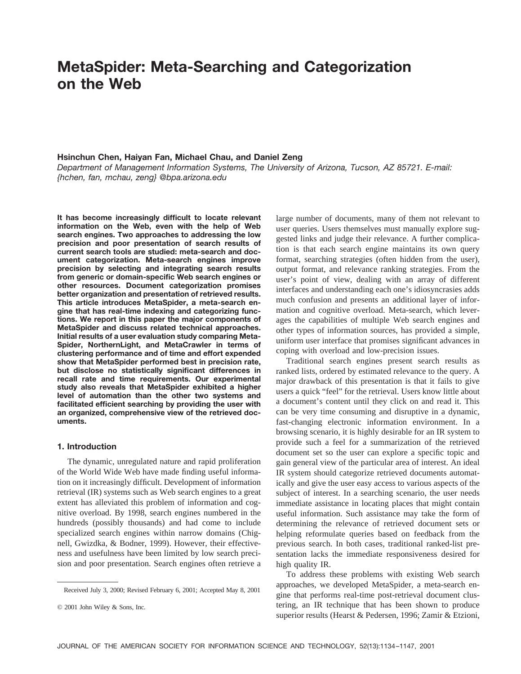# **MetaSpider: Meta-Searching and Categorization on the Web**

# **Hsinchun Chen, Haiyan Fan, Michael Chau, and Daniel Zeng**

*Department of Management Information Systems, The University of Arizona, Tucson, AZ 85721. E-mail: {hchen, fan, mchau, zeng} @bpa.arizona.edu*

**It has become increasingly difficult to locate relevant information on the Web, even with the help of Web search engines. Two approaches to addressing the low precision and poor presentation of search results of current search tools are studied: meta-search and document categorization. Meta-search engines improve precision by selecting and integrating search results from generic or domain-specific Web search engines or other resources. Document categorization promises better organization and presentation of retrieved results. This article introduces MetaSpider, a meta-search engine that has real-time indexing and categorizing functions. We report in this paper the major components of MetaSpider and discuss related technical approaches. Initial results of a user evaluation study comparing Meta-Spider, NorthernLight, and MetaCrawler in terms of clustering performance and of time and effort expended show that MetaSpider performed best in precision rate, but disclose no statistically significant differences in recall rate and time requirements. Our experimental study also reveals that MetaSpider exhibited a higher level of automation than the other two systems and facilitated efficient searching by providing the user with an organized, comprehensive view of the retrieved documents.**

# **1. Introduction**

The dynamic, unregulated nature and rapid proliferation of the World Wide Web have made finding useful information on it increasingly difficult. Development of information retrieval (IR) systems such as Web search engines to a great extent has alleviated this problem of information and cognitive overload. By 1998, search engines numbered in the hundreds (possibly thousands) and had come to include specialized search engines within narrow domains (Chignell, Gwizdka, & Bodner, 1999). However, their effectiveness and usefulness have been limited by low search precision and poor presentation. Search engines often retrieve a large number of documents, many of them not relevant to user queries. Users themselves must manually explore suggested links and judge their relevance. A further complication is that each search engine maintains its own query format, searching strategies (often hidden from the user), output format, and relevance ranking strategies. From the user's point of view, dealing with an array of different interfaces and understanding each one's idiosyncrasies adds much confusion and presents an additional layer of information and cognitive overload. Meta-search, which leverages the capabilities of multiple Web search engines and other types of information sources, has provided a simple, uniform user interface that promises significant advances in coping with overload and low-precision issues.

Traditional search engines present search results as ranked lists, ordered by estimated relevance to the query. A major drawback of this presentation is that it fails to give users a quick "feel" for the retrieval. Users know little about a document's content until they click on and read it. This can be very time consuming and disruptive in a dynamic, fast-changing electronic information environment. In a browsing scenario, it is highly desirable for an IR system to provide such a feel for a summarization of the retrieved document set so the user can explore a specific topic and gain general view of the particular area of interest. An ideal IR system should categorize retrieved documents automatically and give the user easy access to various aspects of the subject of interest. In a searching scenario, the user needs immediate assistance in locating places that might contain useful information. Such assistance may take the form of determining the relevance of retrieved document sets or helping reformulate queries based on feedback from the previous search. In both cases, traditional ranked-list presentation lacks the immediate responsiveness desired for high quality IR.

To address these problems with existing Web search approaches, we developed MetaSpider, a meta-search engine that performs real-time post-retrieval document clustering, an IR technique that has been shown to produce superior results (Hearst & Pedersen, 1996; Zamir & Etzioni,

Received July 3, 2000; Revised February 6, 2001; Accepted May 8, 2001

<sup>©</sup> 2001 John Wiley & Sons, Inc.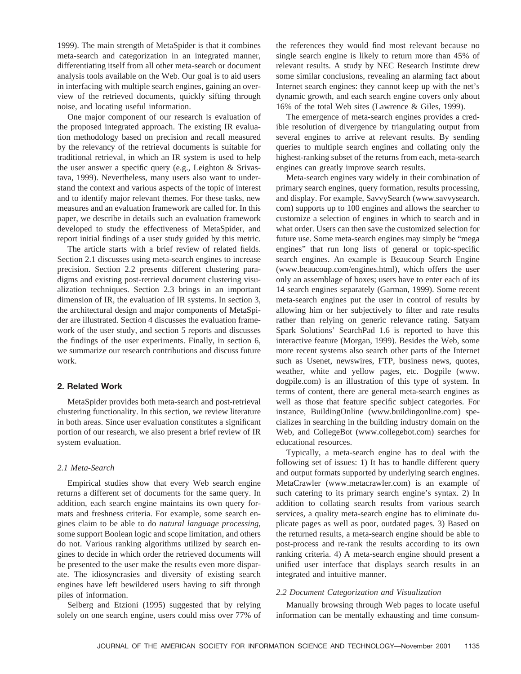1999). The main strength of MetaSpider is that it combines meta-search and categorization in an integrated manner, differentiating itself from all other meta-search or document analysis tools available on the Web. Our goal is to aid users in interfacing with multiple search engines, gaining an overview of the retrieved documents, quickly sifting through noise, and locating useful information.

One major component of our research is evaluation of the proposed integrated approach. The existing IR evaluation methodology based on precision and recall measured by the relevancy of the retrieval documents is suitable for traditional retrieval, in which an IR system is used to help the user answer a specific query (e.g., Leighton & Srivastava, 1999). Nevertheless, many users also want to understand the context and various aspects of the topic of interest and to identify major relevant themes. For these tasks, new measures and an evaluation framework are called for. In this paper, we describe in details such an evaluation framework developed to study the effectiveness of MetaSpider, and report initial findings of a user study guided by this metric.

The article starts with a brief review of related fields. Section 2.1 discusses using meta-search engines to increase precision. Section 2.2 presents different clustering paradigms and existing post-retrieval document clustering visualization techniques. Section 2.3 brings in an important dimension of IR, the evaluation of IR systems. In section 3, the architectural design and major components of MetaSpider are illustrated. Section 4 discusses the evaluation framework of the user study, and section 5 reports and discusses the findings of the user experiments. Finally, in section 6, we summarize our research contributions and discuss future work.

# **2. Related Work**

MetaSpider provides both meta-search and post-retrieval clustering functionality. In this section, we review literature in both areas. Since user evaluation constitutes a significant portion of our research, we also present a brief review of IR system evaluation.

## *2.1 Meta-Search*

Empirical studies show that every Web search engine returns a different set of documents for the same query. In addition, each search engine maintains its own query formats and freshness criteria. For example, some search engines claim to be able to do *natural language processing*, some support Boolean logic and scope limitation, and others do not. Various ranking algorithms utilized by search engines to decide in which order the retrieved documents will be presented to the user make the results even more disparate. The idiosyncrasies and diversity of existing search engines have left bewildered users having to sift through piles of information.

Selberg and Etzioni (1995) suggested that by relying solely on one search engine, users could miss over 77% of

the references they would find most relevant because no single search engine is likely to return more than 45% of relevant results. A study by NEC Research Institute drew some similar conclusions, revealing an alarming fact about Internet search engines: they cannot keep up with the net's dynamic growth, and each search engine covers only about 16% of the total Web sites (Lawrence & Giles, 1999).

The emergence of meta-search engines provides a credible resolution of divergence by triangulating output from several engines to arrive at relevant results. By sending queries to multiple search engines and collating only the highest-ranking subset of the returns from each, meta-search engines can greatly improve search results.

Meta-search engines vary widely in their combination of primary search engines, query formation, results processing, and display. For example, SavvySearch (www.savvysearch. com) supports up to 100 engines and allows the searcher to customize a selection of engines in which to search and in what order. Users can then save the customized selection for future use. Some meta-search engines may simply be "mega engines" that run long lists of general or topic-specific search engines. An example is Beaucoup Search Engine (www.beaucoup.com/engines.html), which offers the user only an assemblage of boxes; users have to enter each of its 14 search engines separately (Garman, 1999). Some recent meta-search engines put the user in control of results by allowing him or her subjectively to filter and rate results rather than relying on generic relevance rating. Satyam Spark Solutions' SearchPad 1.6 is reported to have this interactive feature (Morgan, 1999). Besides the Web, some more recent systems also search other parts of the Internet such as Usenet, newswires, FTP, business news, quotes, weather, white and yellow pages, etc. Dogpile (www. dogpile.com) is an illustration of this type of system. In terms of content, there are general meta-search engines as well as those that feature specific subject categories. For instance, BuildingOnline (www.buildingonline.com) specializes in searching in the building industry domain on the Web, and CollegeBot (www.collegebot.com) searches for educational resources.

Typically, a meta-search engine has to deal with the following set of issues: 1) It has to handle different query and output formats supported by underlying search engines. MetaCrawler (www.metacrawler.com) is an example of such catering to its primary search engine's syntax. 2) In addition to collating search results from various search services, a quality meta-search engine has to eliminate duplicate pages as well as poor, outdated pages. 3) Based on the returned results, a meta-search engine should be able to post-process and re-rank the results according to its own ranking criteria. 4) A meta-search engine should present a unified user interface that displays search results in an integrated and intuitive manner.

#### *2.2 Document Categorization and Visualization*

Manually browsing through Web pages to locate useful information can be mentally exhausting and time consum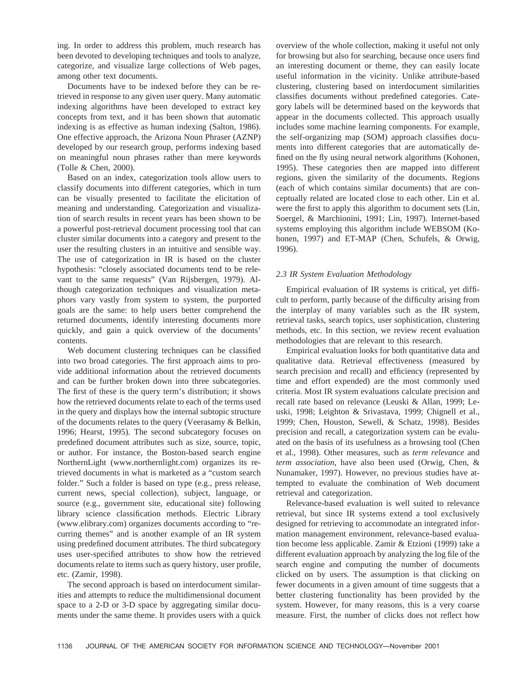ing. In order to address this problem, much research has been devoted to developing techniques and tools to analyze, categorize, and visualize large collections of Web pages, among other text documents.

Documents have to be indexed before they can be retrieved in response to any given user query. Many automatic indexing algorithms have been developed to extract key concepts from text, and it has been shown that automatic indexing is as effective as human indexing (Salton, 1986). One effective approach, the Arizona Noun Phraser (AZNP) developed by our research group, performs indexing based on meaningful noun phrases rather than mere keywords (Tolle & Chen, 2000).

Based on an index, categorization tools allow users to classify documents into different categories, which in turn can be visually presented to facilitate the elicitation of meaning and understanding. Categorization and visualization of search results in recent years has been shown to be a powerful post-retrieval document processing tool that can cluster similar documents into a category and present to the user the resulting clusters in an intuitive and sensible way. The use of categorization in IR is based on the cluster hypothesis: "closely associated documents tend to be relevant to the same requests" (Van Rijsbergen, 1979). Although categorization techniques and visualization metaphors vary vastly from system to system, the purported goals are the same: to help users better comprehend the returned documents, identify interesting documents more quickly, and gain a quick overview of the documents' contents.

Web document clustering techniques can be classified into two broad categories. The first approach aims to provide additional information about the retrieved documents and can be further broken down into three subcategories. The first of these is the query term's distribution; it shows how the retrieved documents relate to each of the terms used in the query and displays how the internal subtopic structure of the documents relates to the query (Veerasamy & Belkin, 1996; Hearst, 1995). The second subcategory focuses on predefined document attributes such as size, source, topic, or author. For instance, the Boston-based search engine NorthernLight (www.northernlight.com) organizes its retrieved documents in what is marketed as a "custom search folder." Such a folder is based on type (e.g., press release, current news, special collection), subject, language, or source (e.g., government site, educational site) following library science classification methods. Electric Library (www.elibrary.com) organizes documents according to "recurring themes" and is another example of an IR system using predefined document attributes. The third subcategory uses user-specified attributes to show how the retrieved documents relate to items such as query history, user profile, etc. (Zamir, 1998).

The second approach is based on interdocument similarities and attempts to reduce the multidimensional document space to a 2-D or 3-D space by aggregating similar documents under the same theme. It provides users with a quick overview of the whole collection, making it useful not only for browsing but also for searching, because once users find an interesting document or theme, they can easily locate useful information in the vicinity. Unlike attribute-based clustering, clustering based on interdocument similarities classifies documents without predefined categories. Category labels will be determined based on the keywords that appear in the documents collected. This approach usually includes some machine learning components. For example, the self-organizing map (SOM) approach classifies documents into different categories that are automatically defined on the fly using neural network algorithms (Kohonen, 1995). These categories then are mapped into different regions, given the similarity of the documents. Regions (each of which contains similar documents) that are conceptually related are located close to each other. Lin et al. were the first to apply this algorithm to document sets (Lin, Soergel, & Marchionini, 1991; Lin, 1997). Internet-based systems employing this algorithm include WEBSOM (Kohonen, 1997) and ET-MAP (Chen, Schufels, & Orwig, 1996).

# *2.3 IR System Evaluation Methodology*

Empirical evaluation of IR systems is critical, yet difficult to perform, partly because of the difficulty arising from the interplay of many variables such as the IR system, retrieval tasks, search topics, user sophistication, clustering methods, etc. In this section, we review recent evaluation methodologies that are relevant to this research.

Empirical evaluation looks for both quantitative data and qualitative data. Retrieval effectiveness (measured by search precision and recall) and efficiency (represented by time and effort expended) are the most commonly used criteria. Most IR system evaluations calculate precision and recall rate based on relevance (Leuski & Allan, 1999; Leuski, 1998; Leighton & Srivastava, 1999; Chignell et al., 1999; Chen, Houston, Sewell, & Schatz, 1998). Besides precision and recall, a categorization system can be evaluated on the basis of its usefulness as a browsing tool (Chen et al., 1998). Other measures, such as *term relevance* and *term association*, have also been used (Orwig, Chen, & Nunamaker, 1997). However, no previous studies have attempted to evaluate the combination of Web document retrieval and categorization.

Relevance-based evaluation is well suited to relevance retrieval, but since IR systems extend a tool exclusively designed for retrieving to accommodate an integrated information management environment, relevance-based evaluation become less applicable. Zamir & Etzioni (1999) take a different evaluation approach by analyzing the log file of the search engine and computing the number of documents clicked on by users. The assumption is that clicking on fewer documents in a given amount of time suggests that a better clustering functionality has been provided by the system. However, for many reasons, this is a very coarse measure. First, the number of clicks does not reflect how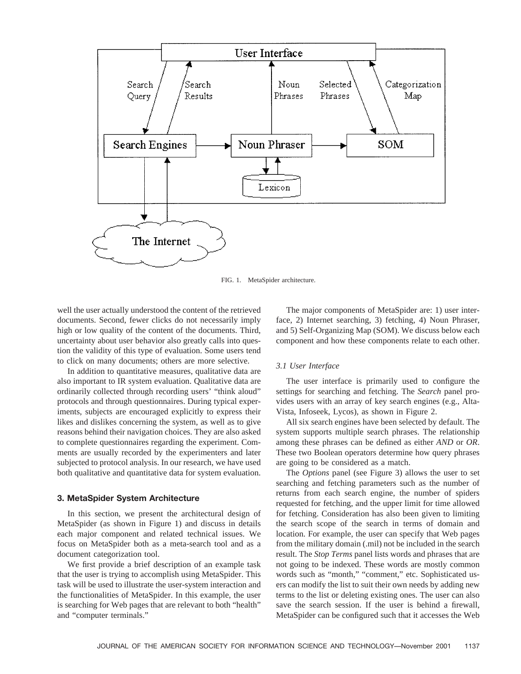

FIG. 1. MetaSpider architecture.

well the user actually understood the content of the retrieved documents. Second, fewer clicks do not necessarily imply high or low quality of the content of the documents. Third, uncertainty about user behavior also greatly calls into question the validity of this type of evaluation. Some users tend to click on many documents; others are more selective.

In addition to quantitative measures, qualitative data are also important to IR system evaluation. Qualitative data are ordinarily collected through recording users' "think aloud" protocols and through questionnaires. During typical experiments, subjects are encouraged explicitly to express their likes and dislikes concerning the system, as well as to give reasons behind their navigation choices. They are also asked to complete questionnaires regarding the experiment. Comments are usually recorded by the experimenters and later subjected to protocol analysis. In our research, we have used both qualitative and quantitative data for system evaluation.

## **3. MetaSpider System Architecture**

In this section, we present the architectural design of MetaSpider (as shown in Figure 1) and discuss in details each major component and related technical issues. We focus on MetaSpider both as a meta-search tool and as a document categorization tool.

We first provide a brief description of an example task that the user is trying to accomplish using MetaSpider. This task will be used to illustrate the user-system interaction and the functionalities of MetaSpider. In this example, the user is searching for Web pages that are relevant to both "health" and "computer terminals."

The major components of MetaSpider are: 1) user interface, 2) Internet searching, 3) fetching, 4) Noun Phraser, and 5) Self-Organizing Map (SOM). We discuss below each component and how these components relate to each other.

# *3.1 User Interface*

The user interface is primarily used to configure the settings for searching and fetching. The *Search* panel provides users with an array of key search engines (e.g., Alta-Vista, Infoseek, Lycos), as shown in Figure 2.

All six search engines have been selected by default. The system supports multiple search phrases. The relationship among these phrases can be defined as either *AND* or *OR*. These two Boolean operators determine how query phrases are going to be considered as a match.

The *Options* panel (see Figure 3) allows the user to set searching and fetching parameters such as the number of returns from each search engine, the number of spiders requested for fetching, and the upper limit for time allowed for fetching. Consideration has also been given to limiting the search scope of the search in terms of domain and location. For example, the user can specify that Web pages from the military domain (.mil) not be included in the search result. The *Stop Terms* panel lists words and phrases that are not going to be indexed. These words are mostly common words such as "month," "comment," etc. Sophisticated users can modify the list to suit their own needs by adding new terms to the list or deleting existing ones. The user can also save the search session. If the user is behind a firewall, MetaSpider can be configured such that it accesses the Web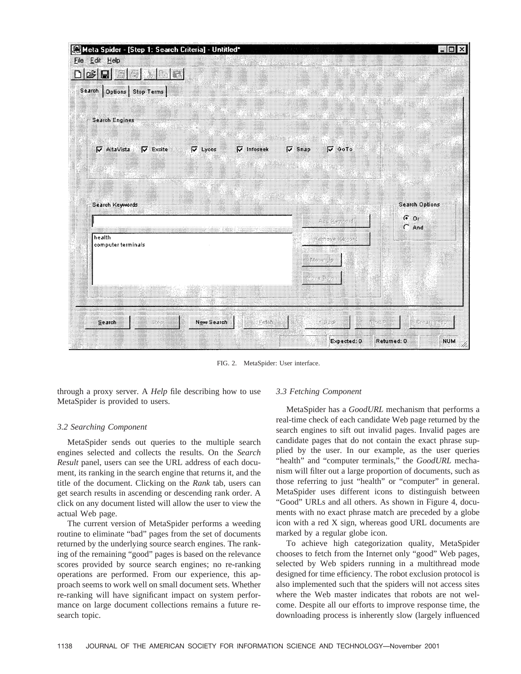

FIG. 2. MetaSpider: User interface.

through a proxy server. A *Help* file describing how to use MetaSpider is provided to users.

## *3.2 Searching Component*

MetaSpider sends out queries to the multiple search engines selected and collects the results. On the *Search Result* panel, users can see the URL address of each document, its ranking in the search engine that returns it, and the title of the document. Clicking on the *Rank* tab, users can get search results in ascending or descending rank order. A click on any document listed will allow the user to view the actual Web page.

The current version of MetaSpider performs a weeding routine to eliminate "bad" pages from the set of documents returned by the underlying source search engines. The ranking of the remaining "good" pages is based on the relevance scores provided by source search engines; no re-ranking operations are performed. From our experience, this approach seems to work well on small document sets. Whether re-ranking will have significant impact on system performance on large document collections remains a future research topic.

#### *3.3 Fetching Component*

MetaSpider has a *GoodURL* mechanism that performs a real-time check of each candidate Web page returned by the search engines to sift out invalid pages. Invalid pages are candidate pages that do not contain the exact phrase supplied by the user. In our example, as the user queries "health" and "computer terminals," the *GoodURL* mechanism will filter out a large proportion of documents, such as those referring to just "health" or "computer" in general. MetaSpider uses different icons to distinguish between "Good" URLs and all others. As shown in Figure 4, documents with no exact phrase match are preceded by a globe icon with a red X sign, whereas good URL documents are marked by a regular globe icon.

To achieve high categorization quality, MetaSpider chooses to fetch from the Internet only "good" Web pages, selected by Web spiders running in a multithread mode designed for time efficiency. The robot exclusion protocol is also implemented such that the spiders will not access sites where the Web master indicates that robots are not welcome. Despite all our efforts to improve response time, the downloading process is inherently slow (largely influenced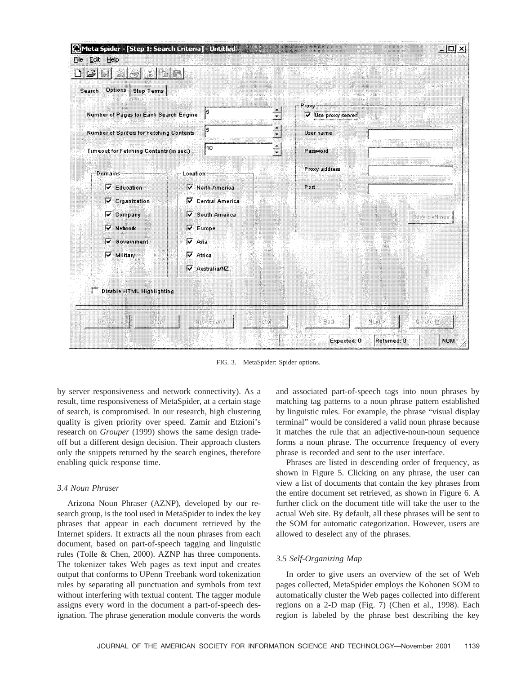

FIG. 3. MetaSpider: Spider options.

by server responsiveness and network connectivity). As a result, time responsiveness of MetaSpider, at a certain stage of search, is compromised. In our research, high clustering quality is given priority over speed. Zamir and Etzioni's research on *Grouper* (1999) shows the same design tradeoff but a different design decision. Their approach clusters only the snippets returned by the search engines, therefore enabling quick response time.

## *3.4 Noun Phraser*

Arizona Noun Phraser (AZNP), developed by our research group, is the tool used in MetaSpider to index the key phrases that appear in each document retrieved by the Internet spiders. It extracts all the noun phrases from each document, based on part-of-speech tagging and linguistic rules (Tolle & Chen, 2000). AZNP has three components. The tokenizer takes Web pages as text input and creates output that conforms to UPenn Treebank word tokenization rules by separating all punctuation and symbols from text without interfering with textual content. The tagger module assigns every word in the document a part-of-speech designation. The phrase generation module converts the words

and associated part-of-speech tags into noun phrases by matching tag patterns to a noun phrase pattern established by linguistic rules. For example, the phrase "visual display terminal" would be considered a valid noun phrase because it matches the rule that an adjective-noun-noun sequence forms a noun phrase. The occurrence frequency of every phrase is recorded and sent to the user interface.

Phrases are listed in descending order of frequency, as shown in Figure 5. Clicking on any phrase, the user can view a list of documents that contain the key phrases from the entire document set retrieved, as shown in Figure 6. A further click on the document title will take the user to the actual Web site. By default, all these phrases will be sent to the SOM for automatic categorization. However, users are allowed to deselect any of the phrases.

## *3.5 Self-Organizing Map*

In order to give users an overview of the set of Web pages collected, MetaSpider employs the Kohonen SOM to automatically cluster the Web pages collected into different regions on a 2-D map (Fig. 7) (Chen et al., 1998). Each region is labeled by the phrase best describing the key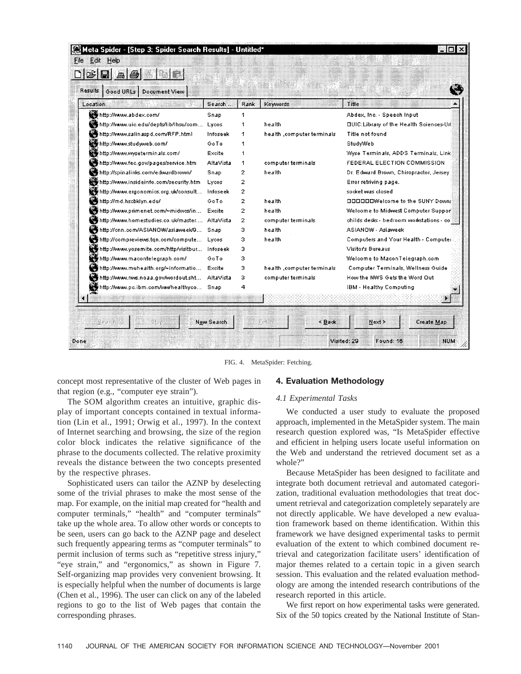| Results<br>Good URLs Document View<br>Location | Search    | Rank           | Keywords                   | Title                                          |
|------------------------------------------------|-----------|----------------|----------------------------|------------------------------------------------|
| http://www.abdex.com/                          | Snap      | 1              |                            | Abdex, Inc. - Speech Input                     |
| http://www.uic.edu/depts/lib/lhsu/com          | Lycos     | 4              | health                     | <b>QUIC:Library of the Health Sciences-Url</b> |
| http://www.salinaspd.com/RFP.html              | Infoseek  | 1              | health ,computer terminals | Title not found                                |
| http://www.studyweb.com/                       | GoTo      |                |                            | StudyWeb                                       |
| http://www.wwseterminals.com/                  | Excite    | 1              |                            | Wyse Terminals, ADDS Terminals, Link           |
| http://www.fec.gov/pages/service.html          | AltaVista | 1              | computer terminals         | FEDERAL ELECTION COMMISSION                    |
| http://spinalinks.com/edwardbrown/             | Snap      | 2              | health                     | Dr. Edward Brown, Chiropractor, Jersey.        |
| http://www.insideinfo.com/security.htm         | Lycos     | 2              |                            | Error retriving page.                          |
| http://www.ergonomics.org.uk/consult           | Infoseek  | $\overline{2}$ |                            | socket was closed                              |
| http://md.hscbklyn.edu/                        | GoTo      | 2              | health                     | <b>QQQQQWelcome to the SUNY Downs</b>          |
| http://www.primenet.com/~midwcs/in             | Excite    | $\mathbf{2}$   | health                     | Welcome to Midwest Computer Support            |
| http://www.homestudies.co.uk/master AltaVista  |           | $\overline{2}$ | computer terminals         | childs desks - bedroom workstations - col      |
| http://cnn.com/ASIANOW/asiaweek/9              | Snap      | з              | health                     | ASIANOW - Asiaweek                             |
| http://compreviews.tgn.com/compute             | Lycos     | з              | health                     | Computers and Your Health - Computer:          |
| 變變 http://www.yosemite.com/http/visitbur       | infoseek  | з              |                            | <b>Visitor's Bureaus</b>                       |
| http://www.macontelegraph.com/                 | GoTo      | з              |                            | Welcome to MaconTelegraph.com                  |
| http://www.muhealth.org/~informatio            | Excite    | з              | health ,computer terminals | Computer Terminals, Wellness Guide             |
| http://www.nws.noaa.gov/wordout.sht AltaVista  |           | з              | computer terminals         | How the NWS Gets the Word Out                  |
| http://www.pc.ibm.com/wwWhealthyco<br>52.      | Snap      | 4              |                            | IBM - Healthy Computing                        |
|                                                |           |                |                            |                                                |

FIG. 4. MetaSpider: Fetching.

concept most representative of the cluster of Web pages in that region (e.g., "computer eye strain").

The SOM algorithm creates an intuitive, graphic display of important concepts contained in textual information (Lin et al., 1991; Orwig et al., 1997). In the context of Internet searching and browsing, the size of the region color block indicates the relative significance of the phrase to the documents collected. The relative proximity reveals the distance between the two concepts presented by the respective phrases.

Sophisticated users can tailor the AZNP by deselecting some of the trivial phrases to make the most sense of the map. For example, on the initial map created for "health and computer terminals," "health" and "computer terminals" take up the whole area. To allow other words or concepts to be seen, users can go back to the AZNP page and deselect such frequently appearing terms as "computer terminals" to permit inclusion of terms such as "repetitive stress injury," "eye strain," and "ergonomics," as shown in Figure 7. Self-organizing map provides very convenient browsing. It is especially helpful when the number of documents is large (Chen et al., 1996). The user can click on any of the labeled regions to go to the list of Web pages that contain the corresponding phrases.

## **4. Evaluation Methodology**

## *4.1 Experimental Tasks*

We conducted a user study to evaluate the proposed approach, implemented in the MetaSpider system. The main research question explored was, "Is MetaSpider effective and efficient in helping users locate useful information on the Web and understand the retrieved document set as a whole?"

Because MetaSpider has been designed to facilitate and integrate both document retrieval and automated categorization, traditional evaluation methodologies that treat document retrieval and categorization completely separately are not directly applicable. We have developed a new evaluation framework based on theme identification. Within this framework we have designed experimental tasks to permit evaluation of the extent to which combined document retrieval and categorization facilitate users' identification of major themes related to a certain topic in a given search session. This evaluation and the related evaluation methodology are among the intended research contributions of the research reported in this article.

We first report on how experimental tasks were generated. Six of the 50 topics created by the National Institute of Stan-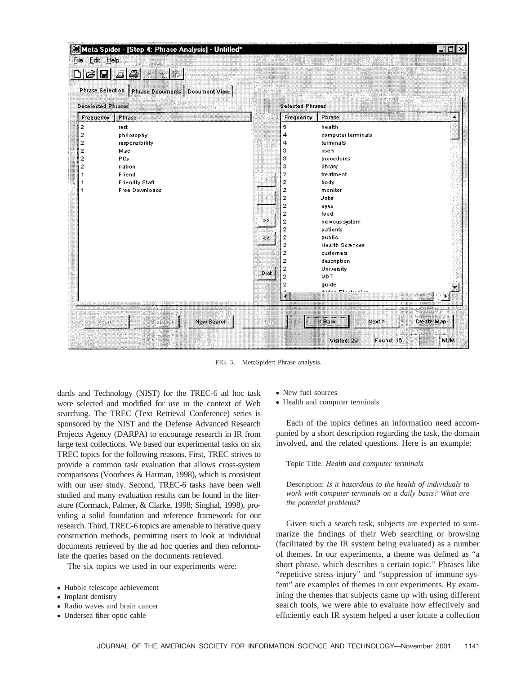

FIG. 5. MetaSpider: Phrase analysis.

dards and Technology (NIST) for the TREC-6 ad hoc task were selected and modified for use in the context of Web searching. The TREC (Text Retrieval Conference) series is sponsored by the NIST and the Defense Advanced Research Projects Agency (DARPA) to encourage research in IR from large text collections. We based our experimental tasks on six TREC topics for the following reasons. First, TREC strives to provide a common task evaluation that allows cross-system comparisons (Voorhees & Harman, 1998), which is consistent with our user study. Second, TREC-6 tasks have been well studied and many evaluation results can be found in the literature (Cormack, Palmer, & Clarke, 1998; Singhal, 1998), providing a solid foundation and reference framework for our research. Third, TREC-6 topics are amenable to iterative query construction methods, permitting users to look at individual documents retrieved by the ad hoc queries and then reformulate the queries based on the documents retrieved.

The six topics we used in our experiments were:

- Hubble telescope achievement
- Implant dentistry
- Radio waves and brain cancer
- Undersea fiber optic cable
- New fuel sources
- Health and computer terminals

Each of the topics defines an information need accompanied by a short description regarding the task, the domain involved, and the related questions. Here is an example:

Topic Title: *Health and computer terminals*

Description: *Is it hazardous to the health of individuals to work with computer terminals on a daily basis? What are the potential problems?*

Given such a search task, subjects are expected to summarize the findings of their Web searching or browsing (facilitated by the IR system being evaluated) as a number of themes. In our experiments, a theme was defined as "a short phrase, which describes a certain topic." Phrases like "repetitive stress injury" and "suppression of immune system" are examples of themes in our experiments. By examining the themes that subjects came up with using different search tools, we were able to evaluate how effectively and efficiently each IR system helped a user locate a collection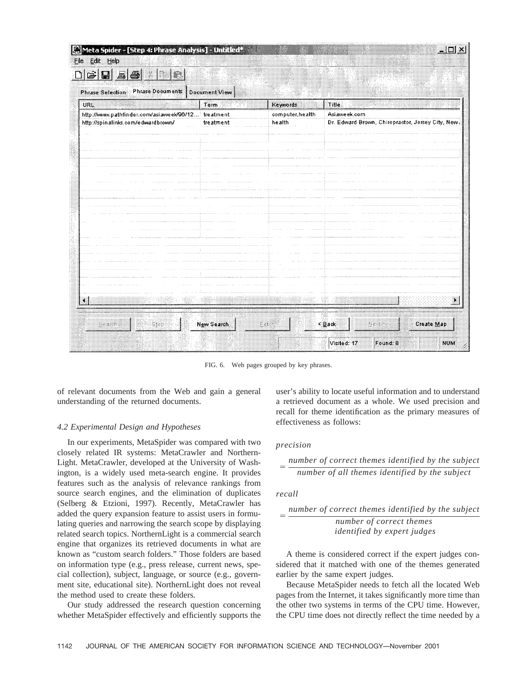

FIG. 6. Web pages grouped by key phrases.

of relevant documents from the Web and gain a general understanding of the returned documents.

#### *4.2 Experimental Design and Hypotheses*

In our experiments, MetaSpider was compared with two closely related IR systems: MetaCrawler and Northern-Light. MetaCrawler, developed at the University of Washington, is a widely used meta-search engine. It provides features such as the analysis of relevance rankings from source search engines, and the elimination of duplicates (Selberg & Etzioni, 1997). Recently, MetaCrawler has added the query expansion feature to assist users in formulating queries and narrowing the search scope by displaying related search topics. NorthernLight is a commercial search engine that organizes its retrieved documents in what are known as "custom search folders." Those folders are based on information type (e.g., press release, current news, special collection), subject, language, or source (e.g., government site, educational site). NorthernLight does not reveal the method used to create these folders.

Our study addressed the research question concerning whether MetaSpider effectively and efficiently supports the

user's ability to locate useful information and to understand a retrieved document as a whole. We used precision and recall for theme identification as the primary measures of effectiveness as follows:

## *precision*

$$
= \frac{number\ of\ correct\ themes\ identified\ by\ the\ subject}{number\ of\ all\ themes\ identified\ by\ the\ subject}
$$

#### *recall*

$$
= \frac{number\ of\ correct\ themes\ identified\ by\ the\ subject}{number\ of\ correct\ themes}\ identical\ by\ expert\ judges}
$$

A theme is considered correct if the expert judges considered that it matched with one of the themes generated earlier by the same expert judges.

Because MetaSpider needs to fetch all the located Web pages from the Internet, it takes significantly more time than the other two systems in terms of the CPU time. However, the CPU time does not directly reflect the time needed by a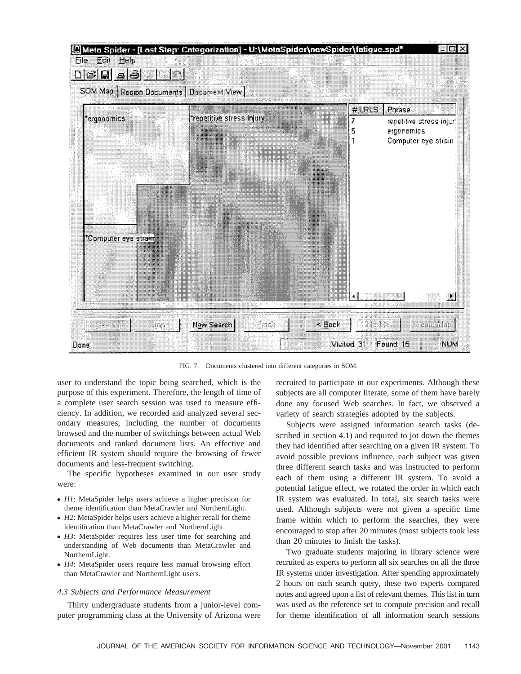

FIG. 7. Documents clustered into different categories in SOM.

user to understand the topic being searched, which is the purpose of this experiment. Therefore, the length of time of a complete user search session was used to measure efficiency. In addition, we recorded and analyzed several secondary measures, including the number of documents browsed and the number of switchings between actual Web documents and ranked document lists. An effective and efficient IR system should require the browsing of fewer documents and less-frequent switching.

The specific hypotheses examined in our user study were:

- *H1*: MetaSpider helps users achieve a higher precision for theme identification than MetaCrawler and NorthernLight.
- *H2*: MetaSpider helps users achieve a higher recall for theme identification than MetaCrawler and NorthernLight.
- *H3*: MetaSpider requires less user time for searching and understanding of Web documents than MetaCrawler and NorthernLight.
- *H4*: MetaSpider users require less manual browsing effort than MetaCrawler and NorthernLight users.

#### *4.3 Subjects and Performance Measurement*

Thirty undergraduate students from a junior-level computer programming class at the University of Arizona were

recruited to participate in our experiments. Although these subjects are all computer literate, some of them have barely done any focused Web searches. In fact, we observed a variety of search strategies adopted by the subjects.

Subjects were assigned information search tasks (described in section 4.1) and required to jot down the themes they had identified after searching on a given IR system. To avoid possible previous influence, each subject was given three different search tasks and was instructed to perform each of them using a different IR system. To avoid a potential fatigue effect, we rotated the order in which each IR system was evaluated. In total, six search tasks were used. Although subjects were not given a specific time frame within which to perform the searches, they were encouraged to stop after 20 minutes (most subjects took less than 20 minutes to finish the tasks).

Two graduate students majoring in library science were recruited as experts to perform all six searches on all the three IR systems under investigation. After spending approximately 2 hours on each search query, these two experts compared notes and agreed upon a list of relevant themes. This list in turn was used as the reference set to compute precision and recall for theme identification of all information search sessions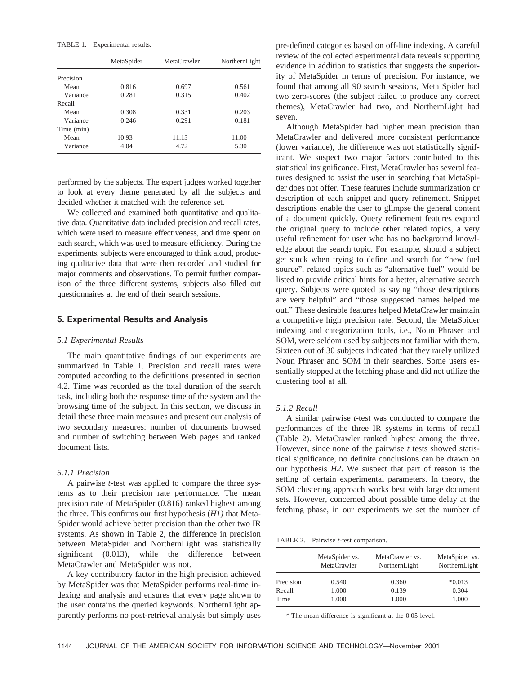TABLE 1. Experimental results.

|            | MetaSpider | MetaCrawler | NorthernLight |
|------------|------------|-------------|---------------|
| Precision  |            |             |               |
| Mean       | 0.816      | 0.697       | 0.561         |
| Variance   | 0.281      | 0.315       | 0.402         |
| Recall     |            |             |               |
| Mean       | 0.308      | 0.331       | 0.203         |
| Variance   | 0.246      | 0.291       | 0.181         |
| Time (min) |            |             |               |
| Mean       | 10.93      | 11.13       | 11.00         |
| Variance   | 4.04       | 4.72        | 5.30          |
|            |            |             |               |

performed by the subjects. The expert judges worked together to look at every theme generated by all the subjects and decided whether it matched with the reference set.

We collected and examined both quantitative and qualitative data. Quantitative data included precision and recall rates, which were used to measure effectiveness, and time spent on each search, which was used to measure efficiency. During the experiments, subjects were encouraged to think aloud, producing qualitative data that were then recorded and studied for major comments and observations. To permit further comparison of the three different systems, subjects also filled out questionnaires at the end of their search sessions.

## **5. Experimental Results and Analysis**

#### *5.1 Experimental Results*

The main quantitative findings of our experiments are summarized in Table 1. Precision and recall rates were computed according to the definitions presented in section 4.2. Time was recorded as the total duration of the search task, including both the response time of the system and the browsing time of the subject. In this section, we discuss in detail these three main measures and present our analysis of two secondary measures: number of documents browsed and number of switching between Web pages and ranked document lists.

## *5.1.1 Precision*

A pairwise *t*-test was applied to compare the three systems as to their precision rate performance. The mean precision rate of MetaSpider (0.816) ranked highest among the three. This confirms our first hypothesis (*H1)* that Meta-Spider would achieve better precision than the other two IR systems. As shown in Table 2, the difference in precision between MetaSpider and NorthernLight was statistically significant (0.013), while the difference between MetaCrawler and MetaSpider was not.

A key contributory factor in the high precision achieved by MetaSpider was that MetaSpider performs real-time indexing and analysis and ensures that every page shown to the user contains the queried keywords. NorthernLight apparently performs no post-retrieval analysis but simply uses

pre-defined categories based on off-line indexing. A careful review of the collected experimental data reveals supporting evidence in addition to statistics that suggests the superiority of MetaSpider in terms of precision. For instance, we found that among all 90 search sessions, Meta Spider had two zero-scores (the subject failed to produce any correct themes), MetaCrawler had two, and NorthernLight had seven.

Although MetaSpider had higher mean precision than MetaCrawler and delivered more consistent performance (lower variance), the difference was not statistically significant. We suspect two major factors contributed to this statistical insignificance. First, MetaCrawler has several features designed to assist the user in searching that MetaSpider does not offer. These features include summarization or description of each snippet and query refinement. Snippet descriptions enable the user to glimpse the general content of a document quickly. Query refinement features expand the original query to include other related topics, a very useful refinement for user who has no background knowledge about the search topic. For example, should a subject get stuck when trying to define and search for "new fuel source", related topics such as "alternative fuel" would be listed to provide critical hints for a better, alternative search query. Subjects were quoted as saying "those descriptions are very helpful" and "those suggested names helped me out." These desirable features helped MetaCrawler maintain a competitive high precision rate. Second, the MetaSpider indexing and categorization tools, i.e., Noun Phraser and SOM, were seldom used by subjects not familiar with them. Sixteen out of 30 subjects indicated that they rarely utilized Noun Phraser and SOM in their searches. Some users essentially stopped at the fetching phase and did not utilize the clustering tool at all.

## *5.1.2 Recall*

A similar pairwise *t*-test was conducted to compare the performances of the three IR systems in terms of recall (Table 2). MetaCrawler ranked highest among the three. However, since none of the pairwise *t* tests showed statistical significance, no definite conclusions can be drawn on our hypothesis *H2*. We suspect that part of reason is the setting of certain experimental parameters. In theory, the SOM clustering approach works best with large document sets. However, concerned about possible time delay at the fetching phase, in our experiments we set the number of

#### TABLE 2. Pairwise *t*-test comparison.

|           | MetaSpider vs.<br>MetaCrawler | MetaCrawler vs.<br>NorthernLight | MetaSpider vs.<br>NorthernLight |
|-----------|-------------------------------|----------------------------------|---------------------------------|
| Precision | 0.540                         | 0.360                            | $*0.013$                        |
| Recall    | 1.000                         | 0.139                            | 0.304                           |
| Time      | 1.000                         | 1.000                            | 1.000                           |

\* The mean difference is significant at the 0.05 level.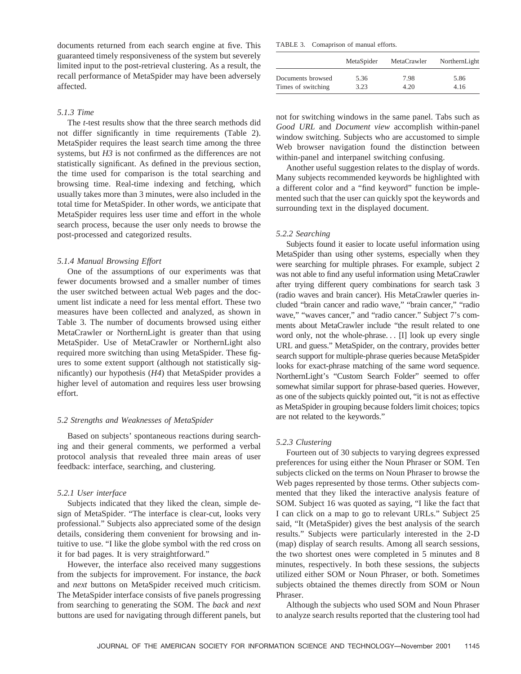documents returned from each search engine at five. This guaranteed timely responsiveness of the system but severely limited input to the post-retrieval clustering. As a result, the recall performance of MetaSpider may have been adversely affected.

# *5.1.3 Time*

The *t*-test results show that the three search methods did not differ significantly in time requirements (Table 2). MetaSpider requires the least search time among the three systems, but *H3* is not confirmed as the differences are not statistically significant. As defined in the previous section, the time used for comparison is the total searching and browsing time. Real-time indexing and fetching, which usually takes more than 3 minutes, were also included in the total time for MetaSpider. In other words, we anticipate that MetaSpider requires less user time and effort in the whole search process, because the user only needs to browse the post-processed and categorized results.

## *5.1.4 Manual Browsing Effort*

One of the assumptions of our experiments was that fewer documents browsed and a smaller number of times the user switched between actual Web pages and the document list indicate a need for less mental effort. These two measures have been collected and analyzed, as shown in Table 3. The number of documents browsed using either MetaCrawler or NorthernLight is greater than that using MetaSpider. Use of MetaCrawler or NorthernLight also required more switching than using MetaSpider. These figures to some extent support (although not statistically significantly) our hypothesis (*H4*) that MetaSpider provides a higher level of automation and requires less user browsing effort.

## *5.2 Strengths and Weaknesses of MetaSpider*

Based on subjects' spontaneous reactions during searching and their general comments, we performed a verbal protocol analysis that revealed three main areas of user feedback: interface, searching, and clustering.

# *5.2.1 User interface*

Subjects indicated that they liked the clean, simple design of MetaSpider. "The interface is clear-cut, looks very professional." Subjects also appreciated some of the design details, considering them convenient for browsing and intuitive to use. "I like the globe symbol with the red cross on it for bad pages. It is very straightforward."

However, the interface also received many suggestions from the subjects for improvement. For instance, the *back* and *next* buttons on MetaSpider received much criticism. The MetaSpider interface consists of five panels progressing from searching to generating the SOM. The *back* and *next* buttons are used for navigating through different panels, but

TABLE 3. Comaprison of manual efforts.

|                    | MetaSpider | MetaCrawler | NorthernLight |
|--------------------|------------|-------------|---------------|
| Documents browsed  | 5.36       | 7.98        | 5.86          |
| Times of switching | 3.23       | 4.20        | 4.16          |

not for switching windows in the same panel. Tabs such as *Good URL* and *Document view* accomplish within-panel window switching. Subjects who are accustomed to simple Web browser navigation found the distinction between within-panel and interpanel switching confusing.

Another useful suggestion relates to the display of words. Many subjects recommended keywords be highlighted with a different color and a "find keyword" function be implemented such that the user can quickly spot the keywords and surrounding text in the displayed document.

#### *5.2.2 Searching*

Subjects found it easier to locate useful information using MetaSpider than using other systems, especially when they were searching for multiple phrases. For example, subject 2 was not able to find any useful information using MetaCrawler after trying different query combinations for search task 3 (radio waves and brain cancer). His MetaCrawler queries included "brain cancer and radio wave," "brain cancer," "radio wave," "waves cancer," and "radio cancer." Subject 7's comments about MetaCrawler include "the result related to one word only, not the whole-phrase... [I] look up every single URL and guess." MetaSpider, on the contrary, provides better search support for multiple-phrase queries because MetaSpider looks for exact-phrase matching of the same word sequence. NorthernLight's "Custom Search Folder" seemed to offer somewhat similar support for phrase-based queries. However, as one of the subjects quickly pointed out, "it is not as effective as MetaSpider in grouping because folders limit choices; topics are not related to the keywords."

## *5.2.3 Clustering*

Fourteen out of 30 subjects to varying degrees expressed preferences for using either the Noun Phraser or SOM. Ten subjects clicked on the terms on Noun Phraser to browse the Web pages represented by those terms. Other subjects commented that they liked the interactive analysis feature of SOM. Subject 16 was quoted as saying, "I like the fact that I can click on a map to go to relevant URLs." Subject 25 said, "It (MetaSpider) gives the best analysis of the search results." Subjects were particularly interested in the 2-D (map) display of search results. Among all search sessions, the two shortest ones were completed in 5 minutes and 8 minutes, respectively. In both these sessions, the subjects utilized either SOM or Noun Phraser, or both. Sometimes subjects obtained the themes directly from SOM or Noun Phraser.

Although the subjects who used SOM and Noun Phraser to analyze search results reported that the clustering tool had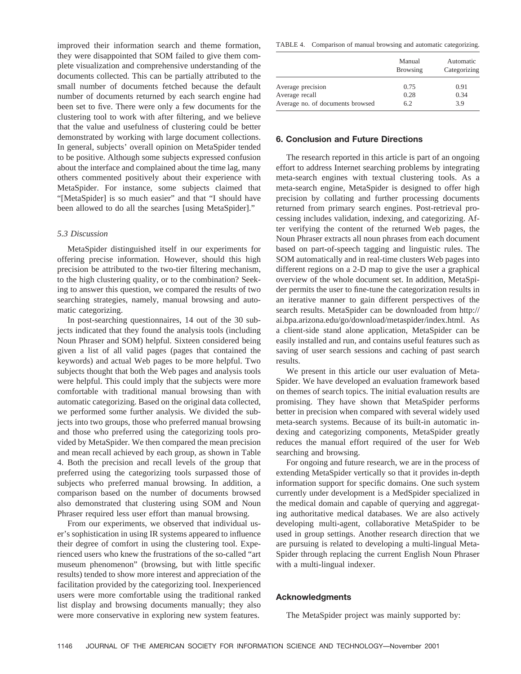improved their information search and theme formation, they were disappointed that SOM failed to give them complete visualization and comprehensive understanding of the documents collected. This can be partially attributed to the small number of documents fetched because the default number of documents returned by each search engine had been set to five. There were only a few documents for the clustering tool to work with after filtering, and we believe that the value and usefulness of clustering could be better demonstrated by working with large document collections. In general, subjects' overall opinion on MetaSpider tended to be positive. Although some subjects expressed confusion about the interface and complained about the time lag, many others commented positively about their experience with MetaSpider. For instance, some subjects claimed that "[MetaSpider] is so much easier" and that "I should have been allowed to do all the searches [using MetaSpider]."

#### *5.3 Discussion*

MetaSpider distinguished itself in our experiments for offering precise information. However, should this high precision be attributed to the two-tier filtering mechanism, to the high clustering quality, or to the combination? Seeking to answer this question, we compared the results of two searching strategies, namely, manual browsing and automatic categorizing.

In post-searching questionnaires, 14 out of the 30 subjects indicated that they found the analysis tools (including Noun Phraser and SOM) helpful. Sixteen considered being given a list of all valid pages (pages that contained the keywords) and actual Web pages to be more helpful. Two subjects thought that both the Web pages and analysis tools were helpful. This could imply that the subjects were more comfortable with traditional manual browsing than with automatic categorizing. Based on the original data collected, we performed some further analysis. We divided the subjects into two groups, those who preferred manual browsing and those who preferred using the categorizing tools provided by MetaSpider. We then compared the mean precision and mean recall achieved by each group, as shown in Table 4. Both the precision and recall levels of the group that preferred using the categorizing tools surpassed those of subjects who preferred manual browsing. In addition, a comparison based on the number of documents browsed also demonstrated that clustering using SOM and Noun Phraser required less user effort than manual browsing.

From our experiments, we observed that individual user's sophistication in using IR systems appeared to influence their degree of comfort in using the clustering tool. Experienced users who knew the frustrations of the so-called "art museum phenomenon" (browsing, but with little specific results) tended to show more interest and appreciation of the facilitation provided by the categorizing tool. Inexperienced users were more comfortable using the traditional ranked list display and browsing documents manually; they also were more conservative in exploring new system features.

TABLE 4. Comparison of manual browsing and automatic categorizing.

|                                  | Manual<br><b>Browsing</b> | Automatic<br>Categorizing |
|----------------------------------|---------------------------|---------------------------|
| Average precision                | 0.75                      | 0.91                      |
| Average recall                   | 0.28                      | 0.34                      |
| Average no. of documents browsed | 62                        | 3.9                       |

# **6. Conclusion and Future Directions**

The research reported in this article is part of an ongoing effort to address Internet searching problems by integrating meta-search engines with textual clustering tools. As a meta-search engine, MetaSpider is designed to offer high precision by collating and further processing documents returned from primary search engines. Post-retrieval processing includes validation, indexing, and categorizing. After verifying the content of the returned Web pages, the Noun Phraser extracts all noun phrases from each document based on part-of-speech tagging and linguistic rules. The SOM automatically and in real-time clusters Web pages into different regions on a 2-D map to give the user a graphical overview of the whole document set. In addition, MetaSpider permits the user to fine-tune the categorization results in an iterative manner to gain different perspectives of the search results. MetaSpider can be downloaded from http:// ai.bpa.arizona.edu/go/download/metaspider/index.html. As a client-side stand alone application, MetaSpider can be easily installed and run, and contains useful features such as saving of user search sessions and caching of past search results.

We present in this article our user evaluation of Meta-Spider. We have developed an evaluation framework based on themes of search topics. The initial evaluation results are promising. They have shown that MetaSpider performs better in precision when compared with several widely used meta-search systems. Because of its built-in automatic indexing and categorizing components, MetaSpider greatly reduces the manual effort required of the user for Web searching and browsing.

For ongoing and future research, we are in the process of extending MetaSpider vertically so that it provides in-depth information support for specific domains. One such system currently under development is a MedSpider specialized in the medical domain and capable of querying and aggregating authoritative medical databases. We are also actively developing multi-agent, collaborative MetaSpider to be used in group settings. Another research direction that we are pursuing is related to developing a multi-lingual Meta-Spider through replacing the current English Noun Phraser with a multi-lingual indexer.

#### **Acknowledgments**

The MetaSpider project was mainly supported by: